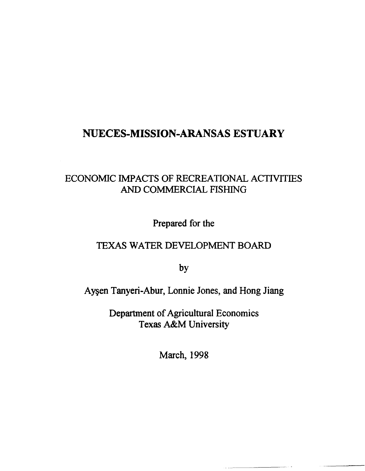# NUECES-MISSION-ARANSAS ESTUARY

# ECONOMIC IMPACTS OF RECREATIONAL ACTIVITIES AND COMMERCIAL FISHING

Prepared for the

## TEXAS WATER DEVELOPMENT BOARD

by

Ayşen Tanyeri-Abur, Lonnie Jones, and Hong Jiang

Department of Agricultural Economics Texas A&M University

March, 1998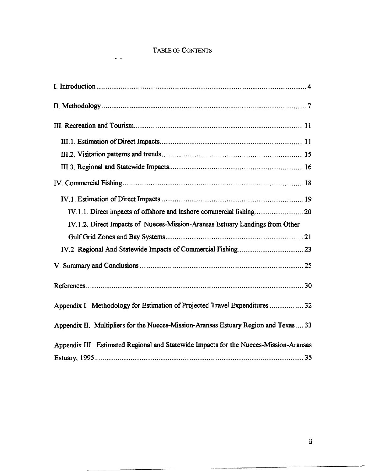## TABLE OF CONJENTS

 $\sim 10^{11}$ 

| IV.1.2. Direct Impacts of Nueces-Mission-Aransas Estuary Landings from Other          |
|---------------------------------------------------------------------------------------|
|                                                                                       |
|                                                                                       |
|                                                                                       |
|                                                                                       |
| Appendix I. Methodology for Estimation of Projected Travel Expenditures  32           |
| Appendix II. Multipliers for the Nueces-Mission-Aransas Estuary Region and Texas  33  |
| Appendix III. Estimated Regional and Statewide Impacts for the Nueces-Mission-Aransas |
|                                                                                       |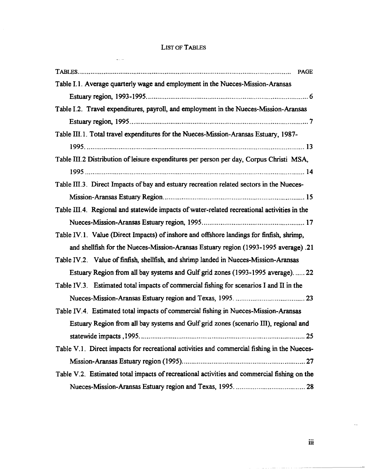## LIST OF TABLES

 $\frac{1}{2}$  ,  $\frac{1}{2}$ 

| <b>PAGE</b>                                                                                 |
|---------------------------------------------------------------------------------------------|
| Table I.1. Average quarterly wage and employment in the Nueces-Mission-Aransas              |
|                                                                                             |
| Table I.2. Travel expenditures, payroll, and employment in the Nueces-Mission-Aransas       |
|                                                                                             |
| Table III.1. Total travel expenditures for the Nueces-Mission-Aransas Estuary, 1987-        |
|                                                                                             |
| Table III.2 Distribution of leisure expenditures per person per day, Corpus Christi MSA,    |
|                                                                                             |
| Table III.3. Direct Impacts of bay and estuary recreation related sectors in the Nueces-    |
|                                                                                             |
| Table III.4. Regional and statewide impacts of water-related recreational activities in the |
|                                                                                             |
| Table IV.1. Value (Direct Impacts) of inshore and offshore landings for finfish, shrimp,    |
| and shellfish for the Nueces-Mission-Aransas Estuary region (1993-1995 average) .21         |
| Table IV.2. Value of finfish, shellfish, and shrimp landed in Nueces-Mission-Aransas        |
| Estuary Region from all bay systems and Gulf grid zones (1993-1995 average) 22              |
| Table IV.3. Estimated total impacts of commercial fishing for scenarios I and II in the     |
|                                                                                             |
| Table IV.4. Estimated total impacts of commercial fishing in Nueces-Mission-Aransas         |
| Estuary Region from all bay systems and Gulf grid zones (scenario III), regional and        |
|                                                                                             |
| Table V.1. Direct impacts for recreational activities and commercial fishing in the Nueces- |
|                                                                                             |
| Table V.2. Estimated total impacts of recreational activities and commercial fishing on the |
|                                                                                             |

 $\cdots$  $\cdots$   $\ddotsc$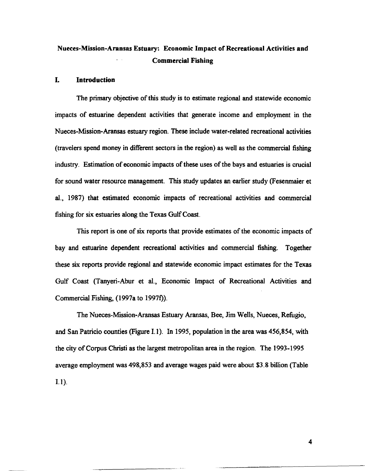## Nueces-Mission-Aransas Estuary: Economic Impact of Recreational Activities and Commercial Fishing

#### I. Introduction

The primary objective of this study is to estimate regional and statewide economic impacts of estuarine dependent activities that generate income and employment in the Nueces-Mission-Aransas estuary region. These include water-related recreational activities (travelers spend money in different sectors in the region) as well as the commercial fishing industry. Estimation of economic impacts of these uses of the bays and estuaries is crucial for sound water resource management. This study updates an earlier study (Fesenmaier et aI., 1987) that estimated economic impacts of recreational activities and commercial fishing for six estuaries along the Texas Gulf Coast.

This report is one of six reports that provide estimates of the economic impacts of bay and estuarine dependent recreational activities and commercial fishing. Together these six reports provide regional and statewide economic impact estimates for the Texas Gulf Coast (Tanyeri-Abur et aI., Economic Impact of Recreational Activities and Commercial Fishing, (1997a to 1997t).

The Nueces-Mission-Aransas Estuary Aransas, Bee, Jim Wells, Nueces, Refugio, and San Patricio counties (Figure I. 1). In 1995, population in the area was 456,854, with the city of Corpus Christi as the largest metropolitan area in the region. The 1993-1995 average employment was 498,853 and average wages paid were about \$3.8 billion (Table I.l ).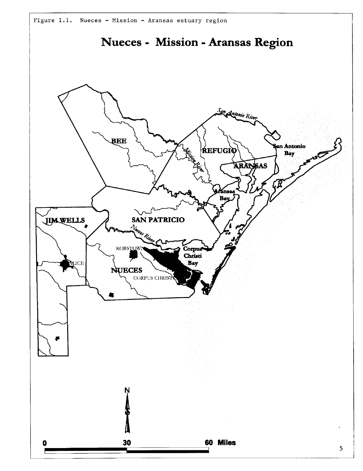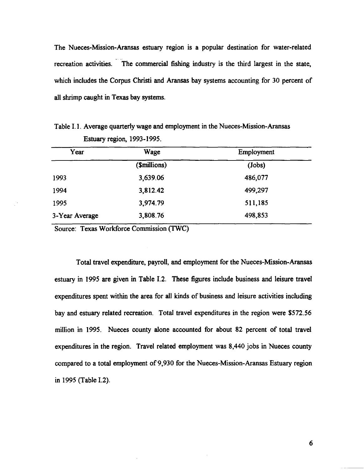The Nueces-Mission-Aransas estuary region is a popular destination for water-related recreation activities. The commercial fishing industry is the third largest in the state, which includes the Corpus Christi and Aransas bay systems accounting for 30 percent of all shrimp caught in Texas bay systems.

Table 1.1. Average quarterly wage and employment in the Nueces-Mission-Aransas Estuary region, 1993-1995.

| Year           | Wage         | Employment |
|----------------|--------------|------------|
|                | (\$millions) | (Jobs)     |
| 1993           | 3,639.06     | 486,077    |
| 1994           | 3,812.42     | 499,297    |
| 1995           | 3,974.79     | 511,185    |
| 3-Year Average | 3,808.76     | 498,853    |

Source: Texas Workforce Commission (TWC)

Total travel expenditure, payroll, and employment for the Nueces-Mission-Aransas estuary in 1995 are given in Table 1.2. These figures include business and leisure travel expenditures spent within the area for all kinds of business and leisure activities including bay and estuary related recreation. Total travel expenditures in the region were \$572.56 million in 1995. Nueces county alone accounted for about 82 percent of total travel expenditures in the region. Travel related employment was 8,440 jobs in Nueces county compared to a total employment of 9,930 for the Nueces-Mission-Aransas Estuary region in 1995 (Table 1.2).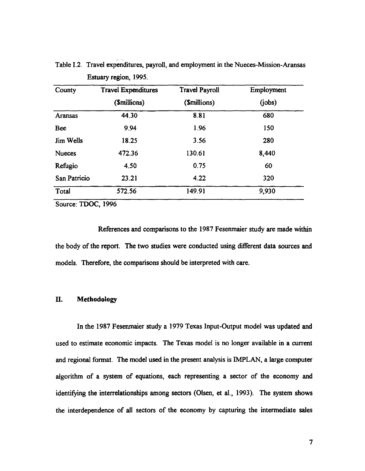| <b>Travel Expenditures</b> | <b>Travel Payroll</b> | Employment |
|----------------------------|-----------------------|------------|
| (\$millions)               | ( <i>Smillions</i> )  | (jobs)     |
| 44.30                      | 8.81                  | 680        |
| 9.94                       | 1.96                  | 150        |
| 18.25                      | 3.56                  | 280        |
| 472.36                     | 130.61                | 8,440      |
| 4.50                       | 0.75                  | 60         |
| 23.21                      | 4.22                  | 320        |
| 572.56                     | 149.91                | 9,930      |
|                            |                       |            |

Table I.2. Travel expenditures, payroll, and employment in the Nueces-Mission-Aransas Estuary region, 1995.

Source: TDOC, 1996

References and comparisons to the 1987 Fesenmaier study are made within the body of the report. The two studies were conducted using different data sources and models. Therefore, the comparisons should be interpreted with care.

## **II. Methodology**

In the 1987 Fesenmaier study a 1979 Texas Input-Output model was updated and used to estimate economic impacts. The Texas model is no longer available in a current and regional format. The model used in the present analysis is IMPLAN, a large computer algorithm of a system of equations, each representing a sector of the economy and identifying the interrelationships among sectors (Olsen, et al., 1993). The system shows the interdependence of all sectors of the economy by capturing the intermediate sales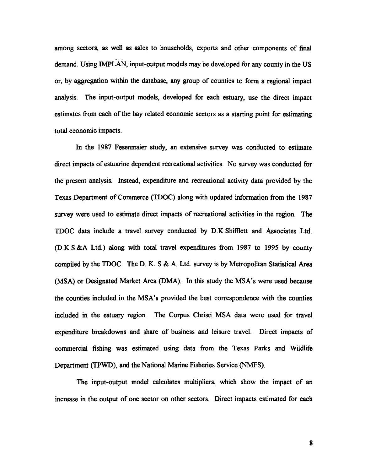among sectors, as well as sales to households, exports and other components of final demand. Using IMPLAN, input-output models may be developed for any county in the US or, by aggregation within the database, any group of counties to form a regional impact analysis. The input-output models, developed for each estuary, use the direct impact estimates from each of the bay related economic sectors as a starting point for estimating total economic impacts.

In the 1987 Fesenmaier study, an extensive survey was conducted to estimate direct impacts of estuarine dependent recreational activities. No survey was conducted for the present analysis. Instead, expenditure and recreational activity data provided by the Texas Department of Commerce (TDOC) along with updated information from the 1987 survey were used to estimate direct impacts of recreational activities in the region. The TDOC data include a travel survey conducted by D.K.Shifilett and Associates Ltd. (D.K.S.&A Ltd.) along with total travel expenditures from 1987 to 1995 by county compiled by the TDOC. The D. K. S & A. Ltd. survey is by Metropolitan Statistical Area (MSA) or Designated Market Area (DMA). In this study the MSA's were used because the counties included in the MSA's provided the best correspondence with the counties included in the estuary region. The Corpus Christi MSA data were used for travel expenditure breakdowns and share of business and leisure travel. Direct impacts of commercial fishing was estimated using data from the Texas Parks and Wildlife Department (TPWD), and the National Marine Fisheries Service (NMFS).

The input-output model calculates multipliers, which show the impact of an increase in the output of one sector on other sectors. Direct impacts estimated for each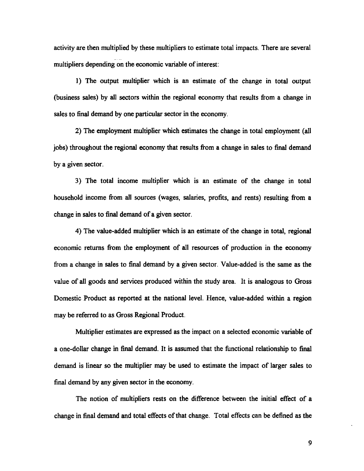activity are then multiplied by these multipliers to estimate total impacts. There are several - multipliers depending on the economic variable of interest:

1) The output multiplier which is an estimate of the change in total output (business sales) by all sectors within the regional economy that results from a change in sales to final demand by one particular sector in the economy.

2) The employment multiplier which estimates the change in total employment (all jobs) throughout the regional economy that results from a change in sales to final demand by a given sector.

3) The total income multiplier which is an estimate of the change in total household income from all sources (wages, salaries, profits, and rents) resulting from a change in sales to final demand of a given sector.

4) The value-added multiplier which is an estimate of the change in total, regional economic returns from the employment of all resources of production in the economy from a change in sales to final demand by a given sector. Value-added is the same as the value of all goods and services produced within the study area. It is analogous to Gross Domestic Product as reported at the national level. Hence, value-added within a region may be referred to as Gross Regional Product.

Multiplier estimates are expressed as the impact on a selected economic variable of a one-dollar change in final demand. It is assumed that the functional relationship to final demand is linear so the multiplier may be used to estimate the impact of larger sales to final demand by any given sector in the economy.

The notion of multipliers rests on the difference between the initial effect of a change in final demand and total effects of that change. Total effects can be defined as the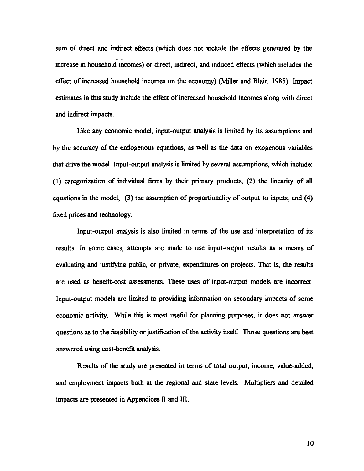sum of direct and indirect effects (which does not include the effects generated by the - increase in household incomes) or direct, indirect, and induced effects (which includes the effect of increased household incomes on the economy) (Miller and Blair, 1985). Impact estimates in this study include the effect of increased household incomes along with direct and indirect impacts.

Like any economic model, input-output analysis is limited by its assumptions and by the accuracy of the endogenous equations, as well as the data on exogenous variables that drive the model. Input-output analysis is limited by several assumptions, which include: (1) categorization of individual firms by their primary products, (2) the linearity of all equations in the model, (3) the assumption of proportionality of output to inputs, and (4) fixed prices and technology.

Input-output analysis is also limited in terms of the use and interpretation of its results. In some cases, attempts are made to use input-output results as a means of evaluating and justifying public, or private, expenditures on projects. That is, the results are used as benefit-cost assessments. These uses of input-output models are incorrect. Input-output models are limited to providing information on secondary impacts of some economic activity. While this is most useful for planning purposes, it does not answer questions as to the feasibility or justification of the activity itself. Those questions are best answered using cost-benefit analysis.

Results of the study are presented in terms of total output, income, value-added, and employment impacts both at the regional and state levels. Multipliers and detailed impacts are presented in Appendices II and III.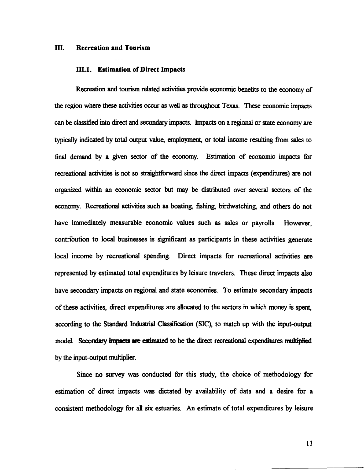#### ffi. Recreation and Tourism

#### III.1. Estimation of Direct Impacts

Recreation and tourism related activities provide economic benefits to the economy of the region where these activities occur as well as throughout Texas. These economic impacts can be classified into direct and secondary impacts. Impacts on a regional or state economy are typically indicated by total output value, employment, or total income resulting from sales to final demand by a given sector of the economy. Estimation of economic impacts for recreational activities is not so straightforward since the direct impacts (expenditures) are not organized within an economic sector but may be distributed over several sectors of the economy. Recreational activities such as boating, fishing, birdwatching, and others do not have immediately measurable economic values such as sales or payrolls. However, contribution to local businesses is significant as participants in these activities generate local income by recreational spending. Direct impacts for recreational activities are represented by estimated total expenditures by leisure travelers. These direct impacts also have secondary impacts on regional and state economies. To estimate secondary impacts of these activities, direct expenditures are allocated to the sectors in which money is spent, according to the Standard Industrial Classification (SIC), to match up with the input-output model. Secondary impacts are estimated to be the direct recreational expenditures multiplied by the input-output multiplier.

Since no survey was conducted for this study, the choice of methodology for estimation of direct impacts was dictated by availability of data and a desire for a consistent methodology for all six estuaries. An estimate of total expenditures by leisure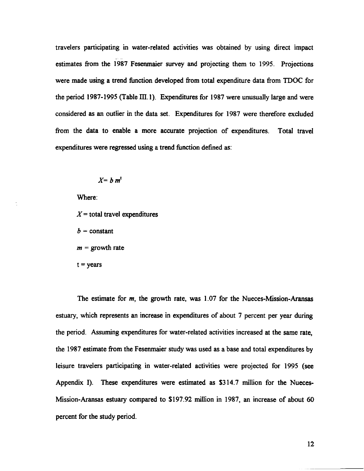travelers participating in water-related activities was obtained by using direct impact estimates from the 1987 Fesenmaier survey and projecting them to 1995. Projections were made using a trend function developed from total expenditure data from TDOC for the period 1987-1995 (Table III. 1). Expenditures for 1987 were unusually large and were considered as an outlier in the data set. Expenditures for 1987 were therefore excluded from the data to enable a more accurate projection of expenditures. Total travel expenditures were regressed using a trend function defined as:

$$
X = b \; m^t
$$

Where:

 $X =$  total travel expenditures

 $b = constant$ 

 $m =$  growth rate

 $t = *years*$ 

The estimate for *m,* the growth rate, was 1.07 for the Nueces-Mission-Aransas estuary, which represents an increase in expenditures of about 7 percent per year during the period. Assuming expenditures for water-related activities increased at the same rate, the 1987 estimate from the Fesenmaier study was used as a base and total expenditures by leisure travelers participating in water-related activities were projected for 1995 (see Appendix I). These expenditures were estimated as \$314.7 million for the Nueces-Mission-Aransas estuary compared to \$197.92 million in 1987, an increase of about 60 percent for the study period.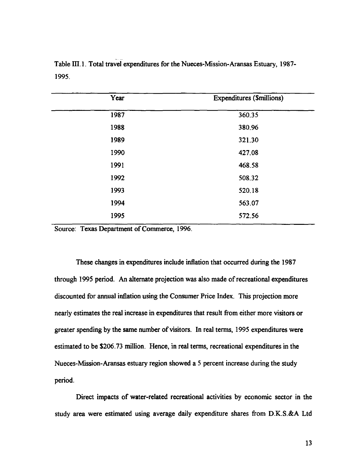| Year | <b>Expenditures (\$millions)</b> |
|------|----------------------------------|
| 1987 | 360.35                           |
| 1988 | 380.96                           |
| 1989 | 321.30                           |
| 1990 | 427.08                           |
| 1991 | 468.58                           |
| 1992 | 508.32                           |
| 1993 | 520.18                           |
| 1994 | 563.07                           |
| 1995 | 572.56                           |
|      |                                  |

Table III.1. Total travel expenditures for the Nueces-Mission-Aransas Estuary, 1987-1995.

Source: Texas Department of Commerce, 1996.

These changes in expenditures include inflation that occurred during the 1987 through 1995 period. An alternate projection was also made of recreational expenditures discounted for annual inflation using the Consumer Price Index. This projection more nearly estimates the real increase in expenditures that result from either more visitors or greater spending by the same number of visitors. In real terms, 1995 expenditures were estimated to be \$206.73 million. Hence, in real terms, recreational expenditures in the Nueces-Mission-Aransas estuary region showed a 5 percent increase during the study period.

Direct impacts of water-related recreational activities by economic sector in the study area were estimated using average daily expenditure shares from D.K.S.&A Ltd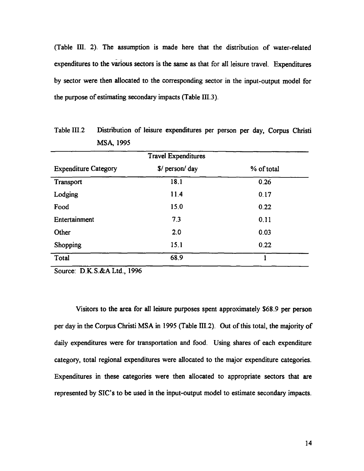(Table ill. 2). The assumption is made here that the distribution of water-related expenditures to the various sectors is the same as that for all leisure travel. Expenditures by sector were then allocated to the corresponding sector in the input-output model for the purpose of estimating secondary impacts (Table  $III.3$ ).

|                             | <b>Travel Expenditures</b> |            |
|-----------------------------|----------------------------|------------|
| <b>Expenditure Category</b> | $\sqrt{s}$ person/day      | % of total |
| Transport                   | 18.1                       | 0.26       |
| Lodging                     | 11.4                       | 0.17       |
| Food                        | 15.0                       | 0.22       |
| Entertainment               | 7.3                        | 0.11       |
| Other                       | 2.0                        | 0.03       |
| Shopping                    | 15.1                       | 0.22       |
| Total                       | 68.9                       | 1          |

Table III.2 Distribution of leisure expenditures per person per day, Corpus Christi MSA, 1995

Source: D.K.S.&ALtd.,1996

Visitors to the area for all leisure purposes spent approximately \$68.9 per person per day in the Corpus Christi MSA in 1995 (Table III.2). Out of this total, the majority of daily expenditures were for transportation and food. Using shares of each expenditure category, total regional expenditures were allocated to the major expenditure categories. Expenditures in these categories were then allocated to appropriate sectors that are represented by SIC's to be used in the input-output model to estimate secondary impacts.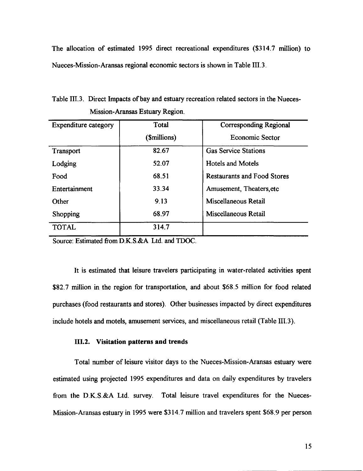The allocation of estimated 1995 direct recreational expenditures (\$314.7 million) to Nueces-Mission-Aransas regional economic sectors is shown in Table IIL3.

Table 111.3. Direct Impacts of bay and estuary recreation related sectors in the Nueces-Mission-Aransas Estuary Region.

| <b>Expenditure category</b> | Total        | <b>Corresponding Regional</b>      |
|-----------------------------|--------------|------------------------------------|
|                             | (\$millions) | Economic Sector                    |
| Transport                   | 82.67        | <b>Gas Service Stations</b>        |
| Lodging                     | 52.07        | <b>Hotels and Motels</b>           |
| Food                        | 68.51        | <b>Restaurants and Food Stores</b> |
| Entertainment               | 33.34        | Amusement, Theaters, etc           |
| Other                       | 9.13         | Miscellaneous Retail               |
| Shopping                    | 68.97        | Miscellaneous Retail               |
| <b>TOTAL</b>                | 314.7        |                                    |

Source: Estimated from D.K.S.&A Ltd. and TDOC.

It is estimated that leisure travelers participating in water-related activities spent \$82.7 million in the region for transportation, and about \$68.5 million for food related purchases (food restaurants and stores). Other businesses impacted by direct expenditures include hotels and motels, amusement services, and miscellaneous retail (Table IIL3).

#### III.2. Visitation patterns and trends

Total number of leisure visitor days to the Nueces-Mission-Aransas estuary were estimated using projected 1995 expenditures and data on daily expenditures by travelers from the D.K.S.&A Ltd. survey. Total leisure travel expenditures for the Nueces-Mission-Aransas estuary in 1995 were \$314.7 million and travelers spent \$68.9 per person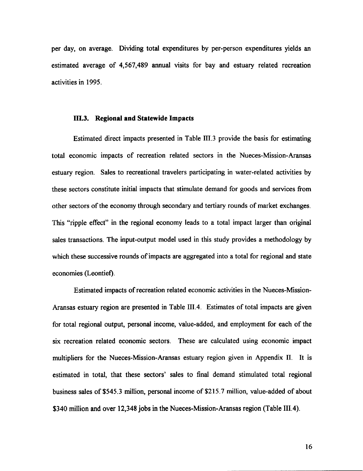per day, on average. Dividing total expenditures by per-person expenditures yields an estimated average of 4,567,489 annual visits for bay and estuary related recreation activities in 1995.

#### m.3. **Regional and Statewide Impacts**

Estimated direct impacts presented in Table I1I.3 provide the basis for estimating total econormc impacts of recreation related sectors in the Nueces-Mission-Aransas estuary region. Sales to recreational travelers participating in water-related activities by these sectors constitute initial impacts that stimulate demand for goods and services from other sectors of the economy through secondary and tertiary rounds of market exchanges. This "ripple effect" in the regional economy leads to a total impact larger than original sales transactions. The input-output model used in this study provides a methodology by which these successive rounds of impacts are aggregated into a total for regional and state economies (Leontief).

Estimated impacts of recreation related economic activities in the Nueces-Mission-Aransas estuary region are presented in Table III.4. Estimates of total impacts are given for total regional output, personal income, value-added, and employment for each of the six recreation related economic sectors. These are calculated using economic impact multipliers for the Nueces-Mission-Aransas estuary region given in Appendix II. It is estimated in total, that these sectors' sales to final demand stimulated total regional business sales of\$545.3 million, personal income of\$215.7 million, value-added of about \$340 million and over 12,348 jobs in the Nueces-Mission-Aransas region (Table III.4).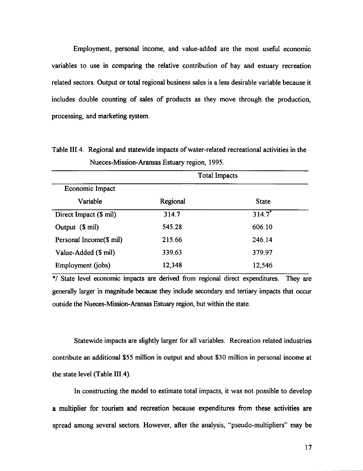Employment, personal income, and value-added are the most useful economic variables to use in comparing the relative contribution of bay and estuary recreation related sectors. Output or total regional business sales is a less desirable variable because it includes double counting of sales of products as they move through the production, processing, and marketing system.

Economic Impact Variable Direct Impact (\$ mil) Output (\$ mil) Personal Income(\$ mil) Value-Added (\$ mil) Employment (jobs) Regional 314.7 545.28 215.66 339.63 12,348 Total Impacts **State**  $314.7$ <sup>\*</sup> 606.10 246.14 379.97 12,546

Table III.4. Regional and statewide impacts of water-related recreational activities in the Nueces-Mission-Aransas Estuary region, 1995.

\*/ State level economic impacts are derived from regional direct expenditures. They are generally larger in magnitude because they include secondary and tertiary impacts that occur outside the Nueces-Mission-Aransas Estuary region, but within the state.

Statewide impacts are slightly larger for all variables. Recreation related industries contribute an additional \$55 million in output and about \$30 million in personal income at the state level (Table III.4).

In constructing the model to estimate total impacts, it was not possible to develop a multiplier for tourism and recreation because expenditures from these activities are spread among several sectors. However, after the analysis, "pseudo-multipliers" may be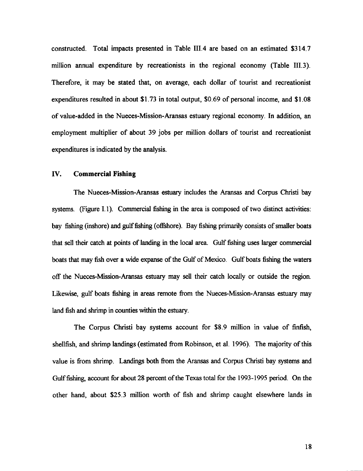constructed. Total impacts presented in Table I1I.4 are based on an estimated \$314.7 million annual expenditure by recreationists in the regional economy (Table I1I.3). Therefore, it may be stated that, on average, each dollar of tourist and recreationist expenditures resulted in about \$l. 73 in total output, \$0.69 of personal income, and \$l. 08 of value-added in the Nueces-Mission-Aransas estuary regional economy. In addition, an employment multiplier of about 39 jobs per million dollars of tourist and recreationist expenditures is indicated by the analysis.

## IV. **Commercial Fishing**

The Nueces-Mission-Aransas estuary includes the Aransas and Corpus Christi bay systems. (Figure I.1). Commercial fishing in the area is composed of two distinct activities: bay fishing (inshore) and gulf fishing (offshore). Bay fishing primarily consists of smaller boats that sell their catch at points of landing in the local area. Gulf fishing uses larger commercial boats that may fish over a wide expanse of the Gulf of Mexico. Gulf boats fishing the waters off the Nueces-Mission-Aransas estuary may sell their catch locally or outside the region. Likewise, gulf boats fishing in areas remote from the Nueces-Mission-Aransas estuary may land fish and shrimp in counties within the estuary.

The Corpus Christi bay systems account for \$8.9 million in value of finfish, shellfish, and shrimp landings (estimated from Robinson, et al. 1996). The majority of this value is from shrimp. Landings both from the Aransas and Corpus Christi bay systems and Gulf fishing, account for about 28 percent of the Texas total for the 1993-1995 period. On the other hand, about \$25.3 million worth of fish and shrimp caught elsewhere lands in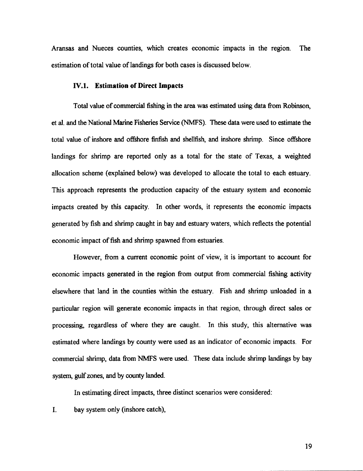Aransas and Nueces counties, which creates economic impacts in the region. The estimation of total value of landings for both cases is discussed below.

#### IV.I. **Estimation** of Direct **Impacts**

Total value of commercial fishing in the area was estimated using data from Robinson, et al. and the National Marine Fisheries Service (NMFS). These data were used to estimate the total value of inshore and offshore finfish and shellfish, and inshore shrimp. Since offshore landings for shrimp are reported only as a total for the state of Texas, a weighted allocation scheme (explained below) was developed to allocate the total to each estuary. This approach represents the production capacity of the estuary system and economic impacts created by this capacity. In other words, it represents the economic impacts generated by fish and shrimp caught in bay and estuary waters, which reflects the potential economic impact of fish and shrimp spawned from estuaries.

However, from a current economic point of view, it is important to account for economic impacts generated in the region from output from commercial fishing activity elsewhere that land in the counties within the estuary. Fish and shrimp unloaded in a particular region will generate economic impacts in that region, through direct sales or processing, regardless of where they are caught. In this study, this alternative was estimated where landings by county were used as an indicator of economic impacts. For commercial shrimp, data from NMFS were used. These data include shrimp landings by bay system, gulf zones, and by county landed.

In estimating direct impacts, three distinct scenarios were considered:

I. bay system only (inshore catch),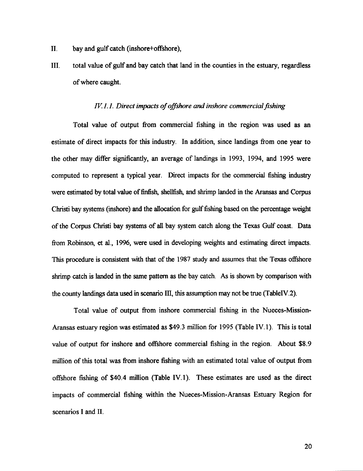- II. bay and gulf catch (inshore+offshore),
- III. total value of gulf and bay catch that land in the counties in the estuary, regardless of where caught.

#### *IV.i.i. Direct impacts of offshore and inshore commercial fishing*

Total value of output from commercial fishing in the region was used as an estimate of direct impacts for this industry. In addition, since landings from one year to the other may differ significantly, an average of landings in 1993, 1994, and 1995 were computed to represent a typical year. Direct impacts for the commercial fishing industry were estimated by total value of finfish, shellfish, and shrimp landed in the Aransas and Corpus Christi bay systems (inshore) and the allocation for gulf fishing based on the percentage weight of the Corpus Christi bay systems of all bay system catch along the Texas Gulf coast. Data from Robinson, et al., 1996, were used in developing weights and estimating direct impacts. This procedure is consistent with that of the 1987 study and assumes that the Texas offshore shrimp catch is landed in the same pattern as the bay catch. As is shown by comparison with the county landings data used in scenario III, this assumption may not be true (TableIV.2).

Total value of output from inshore commercial fishing in the Nueces-Mission-Aransas estuary region was estimated as \$49.3 million for 1995 (Table IY.l). This is total value of output for inshore and offshore commercial fishing in the region. About \$8.9 million of this total was from inshore fishing with an estimated total value of output from offshore fishing of \$40.4 million (Table IV.l). These estimates are used as the direct impacts of commercial fishing within the Nueces-Mission-Aransas Estuary Region for scenarios I and II.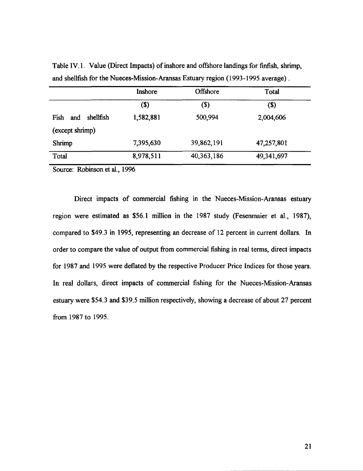|                          | Inshore   | Offshore                   | Total      |
|--------------------------|-----------|----------------------------|------------|
|                          | $(s)$     | $\left( \mathsf{S}\right)$ | $($)$      |
| shellfish<br>Fish<br>and | 1,582,881 | 500,994                    | 2,004,606  |
| (except shrimp)          |           |                            |            |
| Shrimp                   | 7,395,630 | 39,862,191                 | 47,257,801 |
| Total                    | 8,978,511 | 40, 363, 186               | 49,341,697 |
|                          |           |                            |            |

Table IY.l. Value (Direct Impacts) of inshore and offshore landings for finfish, shrimp, and shellfish for the Nueces-Mission-Aransas Estuary region (1993-1995 average) .

Source: Robinson et aI., 1996

Direct impacts of commercial fishing in the Nueces-Mission-Aransas estuary region were estimated as \$56.1 million in the 1987 study (Fesenmaier et aI., 1987), compared to \$49.3 in 1995, representing an decrease of 12 percent in current dollars. In order to compare the value of output from commercial fishing in real terms, direct impacts for 1987 and 1995 were deflated by the respective Producer Price Indices for those years. In real dollars, direct impacts of commercial fishing for the Nueces-Mission-Aransas estuary were \$54.3 and \$39.5 million respectively, showing a decrease of about 27 percent from 1987 to 1995.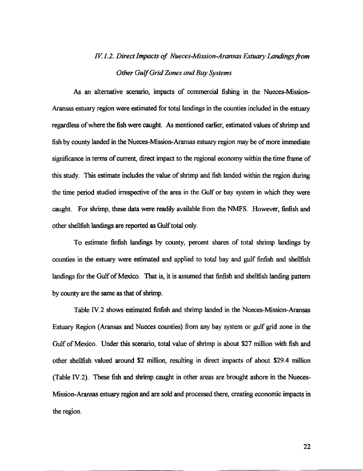# *IV. 1.2. Direct Impacts of Nueces-Mission-Aransas Estuary Landings from Other Gulf Grid Zones* and *Bay Systems*

As an alternative scenario, impacts of commercial fishing in the Nueces-Mission-Aransas estuary region were estimated for total landings in the counties included in the estuary regardless of where the fish were caught. As mentioned earlier, estimated values of shrimp and fish by county landed in the Nueces-Mission-Aransas estuary region may be of more immediate significance in terms of current, direct impact to the regional economy within the time frame of this study. This estimate includes the value of shrimp and fish landed within the region during the time period studied irrespective of the area in the Gulf or bay system in which they were caught. For shrimp, these data were readily available from the NMFS. However, finfish and other shellfish landings are reported as Gulf total only.

To estimate finfish landings by county, percent shares of total shrimp landings by counties in the estuary were estimated and applied to total bay and gulf finfish and shellfish landings for the Gulf of Mexico. That is, it is assumed that finfish and shellfish landing pattern by county are the same as that of shrimp.

Table IV.2 shows estimated finfish and shrimp landed in the Nueces-Mission-Aransas Estuary Region (Aransas and Nueces counties) from any bay system or gulf grid zone in the Gulf of Mexico. Under this scenario, total value of shrimp is about \$27 million with fish and other shellfish valued around \$2 million, resulting in direct impacts of about \$29.4 million (Table IV.2). These fish and shrimp caught in other areas are brought ashore in the Nueces-Mission-Aransas estuary region and are sold and processed there, creating economic impacts in the region.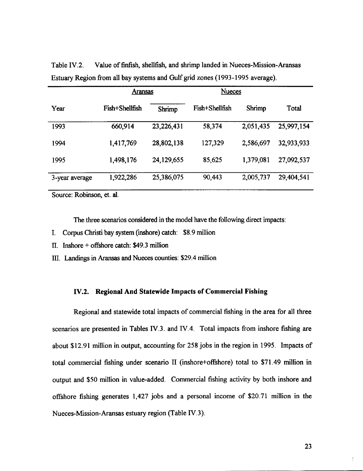|                | <b>Aransas</b> |              | <b>Nueces</b>  |           |            |
|----------------|----------------|--------------|----------------|-----------|------------|
| Year           | Fish+Shellfish | Shrimp       | Fish+Shellfish | Shrimp    | Total      |
| 1993           | 660,914        | 23,226,431   | 58,374         | 2,051,435 | 25,997,154 |
| 1994           | 1,417,769      | 28,802,138   | 127,329        | 2,586,697 | 32,933,933 |
| 1995           | 1,498,176      | 24, 129, 655 | 85,625         | 1,379,081 | 27,092,537 |
| 3-year average | 1,922,286      | 25,386,075   | 90,443         | 2,005,737 | 29,404,541 |

Table IV.2. Value of finfish, shellfish, and shrimp landed in Nueces-Mission-Aransas Estuary Region from all bay systems and Gulfgrid zones (1993-1995 average).

Source: Robinson, et. aI.

The three scenarios considered in the model have the following direct impacts:

- I. Corpus Christi bay system (inshore) catch: \$8.9 million
- II. Inshore + offshore catch: \$49.3 million

III. Landings in Aransas and Nueces counties: \$29.4 million

## IV.2. **Regional And Statewide Impacts of Commercial Fishing**

Regional and statewide total impacts of commercial fishing in the area for all three scenarios are presented in Tables IY.3. and IV.4. Total impacts from inshore fishing are about \$12.91 million in output, accounting for 258 jobs in the region in 1995. Impacts of total commercial fishing under scenario II (inshore+offshore) total to \$71.49 million in output and \$50 million in value-added. Commercial fishing activity by both inshore and offshore fishing generates 1,427 jobs and a personal income of \$20.71 million in the Nueces-Mission-Aransas estuary region (Table IV.3).

 $\frac{1}{2}$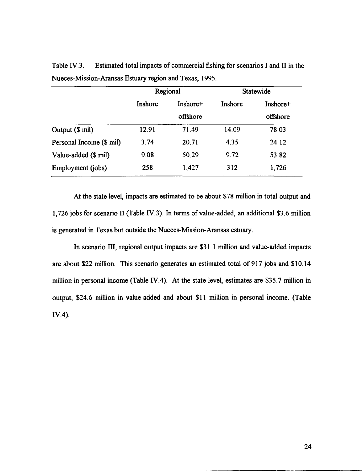|                          | Regional |                      |         | Statewide            |
|--------------------------|----------|----------------------|---------|----------------------|
|                          | Inshore  | Inshore+<br>offshore | Inshore | Inshore+<br>offshore |
| Output (\$ mil)          | 12.91    | 71.49                | 14.09   | 78.03                |
| Personal Income (\$ mil) | 3.74     | 20.71                | 4.35    | 24.12                |
| Value-added (\$ mil)     | 9.08     | 50.29                | 9.72    | 53.82                |
| Employment (jobs)        | 258      | 1,427                | 312     | 1,726                |

Table IV.3. Estimated total impacts of commercial fishing for scenarios I and II in the Nueces-Mission-Aransas Estuary region and Texas, 1995.

At the state level, impacts are estimated to be about \$78 million in total output and 1,726 jobs for scenario II (Table IV.3). In terms of value-added, an additional \$3.6 million is generated in Texas but outside the Nueces-Mission-Aransas estuary.

In scenario III, regional output impacts are \$31.1 million and value-added impacts are about \$22 million. This scenario generates an estimated total of 917 jobs and \$10.14 million in personal income (Table IV.4). At the state level, estimates are \$35.7 million in output, \$24.6 million in value-added and about \$11 million in personal income. (Table IV.4).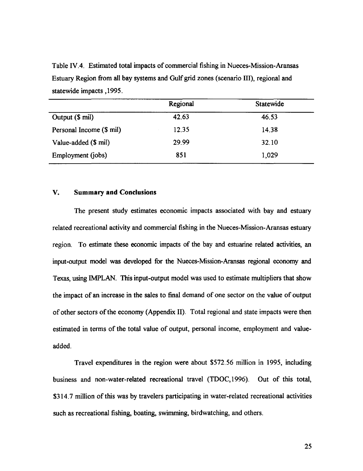Table IV.4. Estimated total impacts of commercial fishing in Nueces-Mission-Aransas Estuary Region from all bay systems and Gulf grid zones (scenario III), regional and statewide impacts ,1995.

|                          | Regional | Statewide |
|--------------------------|----------|-----------|
| Output (\$ mil)          | 42.63    | 46.53     |
| Personal Income (\$ mil) | 12.35    | 14.38     |
| Value-added (\$ mil)     | 29.99    | 32.10     |
| Employment (jobs)        | 851      | 1,029     |

#### V. **Summary and Conclusions**

The present study estimates economic impacts associated with bay and estuary related recreational activity and commercial fishing in the Nueces-Mission-Aransas estuary region. To estimate these economic impacts of the bay and estuarine related activities, an input-output model was developed for the Nueces-Mission-Aransas regional economy and Texas, using IMPLAN. This input-output model was used to estimate multipliers that show the impact of an increase in the sales to final demand of one sector on the value of output of other sectors of the economy (Appendix II). Total regional and state impacts were then estimated in terms of the total value of output, personal income, employment and valueadded.

Travel expenditures in the region were about \$572.56 million in 1995, including business and non-water-related recreational travel (IDOC,1996). Out of this total, \$314.7 million of this was by travelers participating in water-related recreational activities such as recreational fishing, boating, swimming, birdwatching, and others.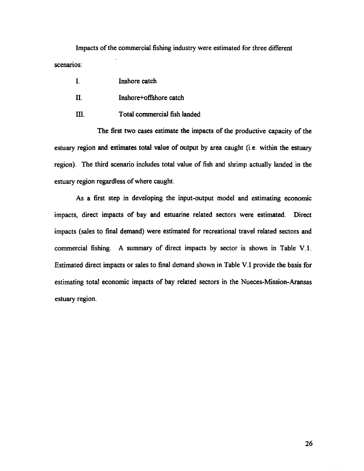Impacts of the commercial fishing industry were estimated for three different scenarios:

- I. II. Inshore catch Inshore+offshore catch
- ill. Total commercial fish landed

The first two cases estimate the impacts of the productive capacity of the estuary region and estimates total value of output by area caught (i.e. within the estuary region). The third scenario includes total value of fish and shrimp actually landed in the estuary region regardless of where caught.

As a first step in developing the input-output model and estimating economic impacts, direct impacts of bay and estuarine related sectors were estimated. Direct impacts (sales to final demand) were estimated for recreational travel related sectors and commercial fishing. A summary of direct impacts by sector is shown in Table V.l. Estimated direct impacts or sales to final demand shown in Table V.I provide the basis for estimating total economic impacts of bay related sectors in the Nueces-Mission-Aransas estuary region.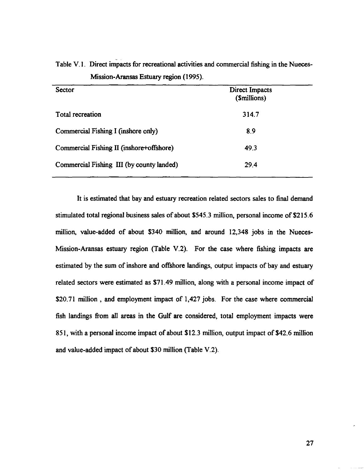| Sector                                    | Direct Impacts<br>(\$millions) |  |
|-------------------------------------------|--------------------------------|--|
| Total recreation                          | 314.7                          |  |
| Commercial Fishing I (inshore only)       | 8.9                            |  |
| Commercial Fishing II (inshore+offshore)  | 49.3                           |  |
| Commercial Fishing III (by county landed) | 29.4                           |  |

Table V.I. Direct impacts for recreational activities and commercial fishing in the Nueces-Mission-Aransas Estuary region (1995).

It is estimated that bay and estuary recreation related sectors sales to final demand stimulated total regional business sales of about \$545.3 million, personal income of \$215.6 million, value-added of about \$340 million, and around 12,348 jobs in the Nueces-Mission-Aransas estuary region (Table V.2). For the case where fishing impacts are estimated by the sum of inshore and offshore landings, output impacts of bay and estuary related sectors were estimated as \$71.49 million, along with a personal income impact of \$20.71 million, and employment impact of 1,427 jobs. For the case where commercial fish landings from all areas in the Gulf are considered, total employment impacts were 851, with a personal income impact of about \$12.3 million, output impact of \$42.6 million and value-added impact of about \$30 million (Table V.2).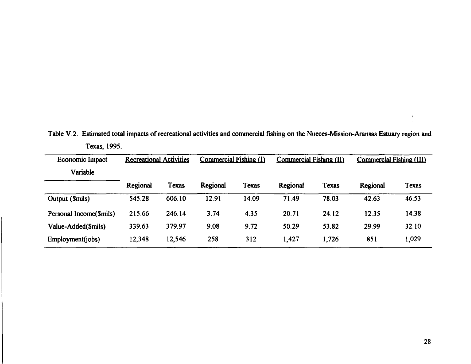| Economic Impact<br>Variable | <b>Recreational Activities</b> |        | Commercial Fishing (I) |       | Commercial Fishing (II)<br>Commercial Fishing (III) |       |          |       |  |
|-----------------------------|--------------------------------|--------|------------------------|-------|-----------------------------------------------------|-------|----------|-------|--|
|                             | Regional                       | Texas  | Regional               | Texas | Regional                                            | Texas | Regional | Texas |  |
| Output (\$mils)             | 545.28                         | 606.10 | 12.91                  | 14.09 | 71.49                                               | 78.03 | 42.63    | 46.53 |  |
| Personal Income(\$mils)     | 215.66                         | 246.14 | 3.74                   | 4.35  | 20.71                                               | 24.12 | 12.35    | 14.38 |  |
| Value-Added(\$mils)         | 339.63                         | 379.97 | 9.08                   | 9.72  | 50.29                                               | 53.82 | 29.99    | 32.10 |  |
| Employment(jobs)            | 12,348                         | 12,546 | 258                    | 312   | 1,427                                               | 1,726 | 851      | 1,029 |  |

Table V.2. Estimated total impacts of recreational activities and commercial fishing on the Nueces-Mission-Aransas Estuary region and Texas, 1995.

 $\mathbf{I}$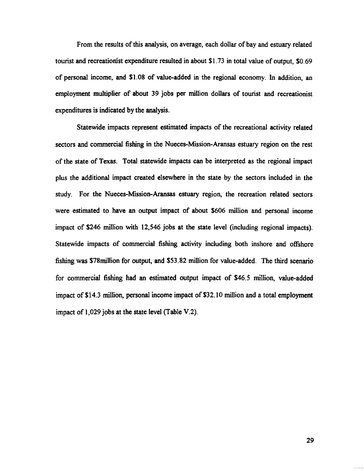From the results of this analysis, on average, each dollar of bay and estuary related tourist and recreationist expenditure resulted in about \$l. 73 in total value of output, \$0.69 of personal income, and \$1.08 of value-added in the regional economy. In addition, an employment multiplier of about 39 jobs per million dollars of tourist and recreationist expenditures is indicated by the analysis.

Statewide impacts represent estimated impacts of the recreational activity related sectors and commercial fishing in the Nueces-Mission-Aransas estuary region on the rest of the state of Texas. Total statewide impacts can be interpreted as the regional impact plus the additional impact created elsewhere in the state by the sectors included in the study. For the Nueces-Mission-Aransas estuary region, the recreation related sectors were estimated to have an output impact of about \$606 million and personal income impact of \$246 million with 12,546 jobs at the state level (including regional impacts). Statewide impacts of commercial fishing activity including both inshore and offshore fishing was \$78million for output, and \$53.82 million for value-added. The third scenario for commercial fishing had an estimated output impact of \$46.5 million, value-added impact of \$14.3 million, personal income impact of \$32.10 million and a total employment impact of 1,029 jobs at the state level (Table V.2).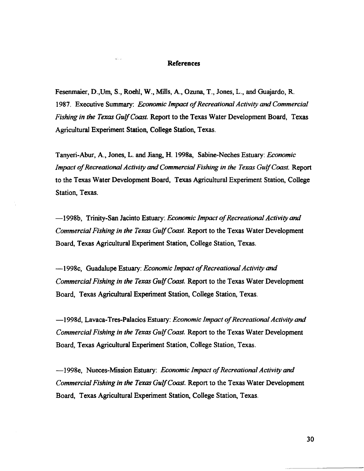#### **References**

 $\omega$  .  $\omega$ 

Fesenmaier, D.,Urn, S., Roehl, W., Mills, A., Ozuna, T., Jones, L., and Guajardo, R. 1987. Executive Summary: *Economic Impact of Recreational Activity* and *Commercial Fishing in the Texas GuIjCoast.* Report to the Texas Water Development Board, Texas Agricultural Experiment Station, College Station, Texas.

Tanyeri-Abur, A., Jones, L. and Jiang, H. 1998a, Sabine-Neches Estuary: *Economic Impact of Recreational Activity* and *Commercial Fishing in the Texas GuIjCoast.* Report to the Texas Water Development Board, Texas Agricultural Experiment Station, College Station, Texas.

-1998b, Trinity-San Jacinto Estuary: *Economic Impact of Recreational Activity* and *Commercial Fishing in the Texas GuIjCoast.* Report to the Texas Water Development Board, Texas Agricultural Experiment Station, College Station, Texas.

-1998c, Guadalupe Estuary: *Economic Impact of Recreational Activity* and *Commercial Fishing in the Texas GuIjCoast.* Report to the Texas Water Development Board, Texas Agricultural Experiment Station, College Station, Texas.

-1998d, Lavaca-Tres-Palacios Estuary: *Economic Impact of Recreational Activity and Commercial Fishing in the Texas GuIjCoast.* Report to the Texas Water Development Board, Texas Agricultural Experiment Station, College Station, Texas.

-1998e, Nueces-Mission Estuary: *Economic Impact of Recreational Activity* and *Commercial Fishing in the Texas GuIjCoast.* Report to the Texas Water Development Board, Texas Agricultural Experiment Station, College Station, Texas.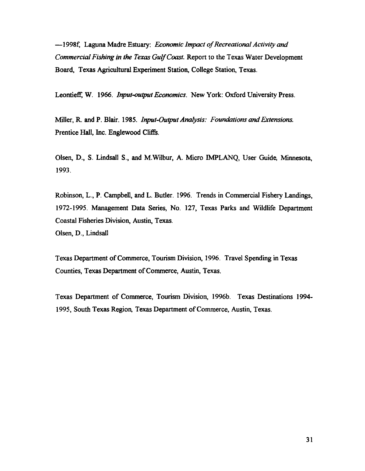-1998f, Laguna Madre Estuary: *Economic Impact of Recreational Activity and Commercial Fishing in the Texas Gulf Coast.* Report to the Texas Water Development Board, Texas Agricultural Experiment Station, College Station, Texas.

Leontieff, W. 1966. *Input-output Economics.* New York: Oxford University Press.

Miller, R. and P. Blair. 1985. *Input-Output Analysis: Foundations and Extensions.*  Prentice Hall, Inc. Englewood Cliffs.

Olsen, D., S. Lindsall S., and M.Wilbur, A. Micro IMPLANQ, User Guide, Minnesota, 1993.

Robinson, L., P. Campbell, and L. Butler. 1996. Trends in Commercial Fishery Landings, 1972-1995. Management Data Series, No. 127, Texas Parks and Wildlife Department Coastal Fisheries Division, Austin, Texas. Olsen, D., Lindsall

Texas Department of Commerce, Tourism Division, 1996. Travel Spending in Texas Counties, Texas Department of Commerce, Austin, Texas.

Texas Department of Commerce, Tourism Division, 1996b. Texas Destinations 1994- 1995, South Texas Region, Texas Department of Commerce, Austin, Texas.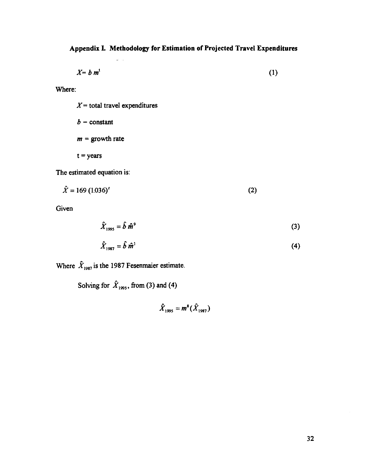## **Appendix L Methodology for Estimation of Projected Travel Expenditures**

$$
X = b \, m^t \tag{1}
$$

Where:

 $X =$  total travel expenditures  $b = constant$  $m =$  growth rate  $t = years$ 

L.

The estimated equation is:

$$
\hat{X} = 169 (1.036)^t
$$
 (2)

Given

$$
\hat{X}_{1995} = \hat{b} \; \hat{m}^9 \tag{3}
$$

$$
\hat{X}_{1987} = \hat{b} \hat{m}^1 \tag{4}
$$

Where  $\hat{X}_{1987}$  is the 1987 Fesenmaier estimate.

Solving for  $\hat{X}_{1995}$ , from (3) and (4)

 $\hat{X}_{1995} = m^8 (\hat{X}_{1987})$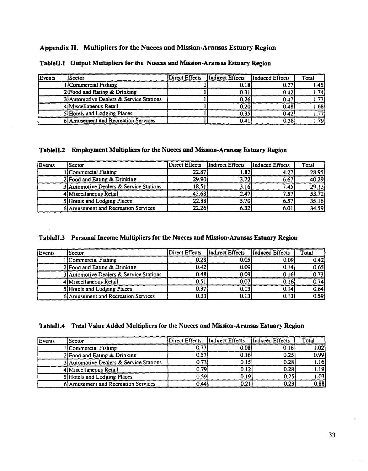## Appendix II. Multipliers for the Nueces and Mission-Aransas Estuary Region

| Events | ) Sector                                | Direct Effects | Indirect Effects | Induced Effects | Total |
|--------|-----------------------------------------|----------------|------------------|-----------------|-------|
|        | l Commercial Fishing                    |                | 0.18             | 0.27            | 1.45  |
|        | 2 Food and Eating & Drinking            |                | 0.31             | 0.42            | 1.74  |
|        | 3 Automotive Dealers & Service Stations |                | 0.26             | 0.47            | 1.73' |
|        | 4 Miscellaneous Retail                  |                | 0.20             | 0.48            | 1.681 |
|        | 5 Hotels and Lodging Places             |                | 0.35             | 0.42            | 1.77  |
|        | 6 Amusement and Recreation Services     |                | 0.41             | 0.381           | (79ء  |

TableII.1 Output Multipliers for the Nueces and Mission-Aransas Estuary Region

## Tablell.2 Employment Multipliers for the Nueces and Mission-Aransas Estuary Region

| Events | <b>Sector</b>                           | Direct Effects | Indirect Effects | Induced Effects | Total |
|--------|-----------------------------------------|----------------|------------------|-----------------|-------|
|        | 1 Commercial Fishing                    | 22.87          | '82.،            | 4.27'           | 28.95 |
|        | 2 Food and Eating & Drinking            | 29.90          | 3.72             | 6.67            | 40.29 |
|        | 3 Automotive Dealers & Service Stations | 18.51          | 3.16             | 7.45            | 29.13 |
|        | 4 Miscellaneous Retail                  | 43.68          | 2.47             | 7.57.           | 53.72 |
|        | 5 Hotels and Lodging Places             | 22.88          | 5.70             | 6.57            | 35.16 |
|        | 6 Amusement and Recreation Services     | 22.26          | 6.32             | 6.01            | 34.59 |

## TableII.3 Personal Income Multipliers for the Nueces and Mission-Aransas Estuary Region

| Events | l Sector                                | Direct Effects | Indirect Effects | Induced Effects | <b>Total</b> |
|--------|-----------------------------------------|----------------|------------------|-----------------|--------------|
|        | Commercial Fishing                      | 0.28           | 0.05             | 0.09            | 0.42         |
|        | 2] Food and Eating & Drinking           | 0.42           | 0.09             | 0.14            | 0.65         |
|        | 3 Automotive Dealers & Service Stations | 0.48           | 0.09             | 0.16            | 0.73         |
|        | 4 Miscellaneous Retail                  | 0.51           | 0.07             | 0.161           | 0.74         |
|        | 5 Hotels and Lodging Places             | 0.37           | 0.13             | 0.14            | 0.64         |
|        | 6 Amusement and Recreation Services     | 0.33           | 0.13             | 0.13            | 0.59         |

## TableII.4 Total Value Added Multipliers for the Nueces and Mission-Aransas Estuary Region

| Events | l Sector                                | Direct Effects | Indirect Effects  | Induced Effects | Total             |
|--------|-----------------------------------------|----------------|-------------------|-----------------|-------------------|
|        | Commercial Fishing                      | $0.7^{\circ}$  | 0.08              | 0.16            | 1.02i             |
|        | 2 Food and Eating & Drinking            | 0.57           | 0.16              | 0.25            | 0.99              |
|        | 3 Automotive Dealers & Service Stations | 0.73           | 0.15              | 0.28            | 1.16              |
|        | 4 Miscellaneous Retail                  | 0.79           | 0.12              | 0.28            | 1.19              |
|        | 5 Hotels and Lodging Places             | 0.59           | 0.19 <sup>5</sup> | 0.251           | $\overline{1.03}$ |
|        | 6) Amusement and Recreation Services    | 0.44           | 0.21              | 0.23            | 0.88              |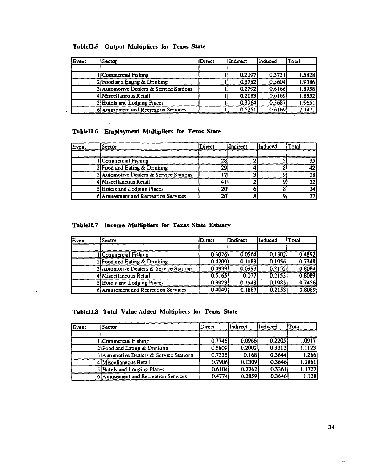## Tablell.s Output Multipliers for Texas State

| Event | <b>Sector</b>                           | Direct | Indirect | linduced | Total  |
|-------|-----------------------------------------|--------|----------|----------|--------|
|       |                                         |        |          |          |        |
|       | Commercial Fishing                      |        | 0.2097   | 0.3731   | 1.5828 |
|       | 2 Food and Eating & Drinking            |        | 0.3782   | 0.5604   | 1.9386 |
|       | 3 Automotive Dealers & Service Stations |        | 0.2792   | 0.6166   | 1.8958 |
|       | 4 Miscellaneous Retail                  |        | 0.2183   | 0.6169   | 1.8352 |
|       | 5 Hotels and Lodging Places             |        | 0.3964   | 0.5687   | 1.9651 |
|       | 6 Amusement and Recreation Services     |        | 0.5251   | 0.6169   | 2.1421 |

## Tablell.6 Employment Multipliers for Texas State

| Event | Sector                                  | Direct | lIndirect | Induced | Total |
|-------|-----------------------------------------|--------|-----------|---------|-------|
|       |                                         |        |           |         |       |
|       | Commercial Fishing                      | 28     |           |         |       |
|       | $2$ Food and Eating & Drinking          | 29     |           |         |       |
|       | 3 Automotive Dealers & Service Stations |        |           |         | 28    |
|       | 4 Miscellaneous Retail                  |        |           |         |       |
|       | 5 Hotels and Lodging Places             | 20     |           |         |       |
|       | 6 Amusement and Recreation Services     | 20     |           |         |       |

## Tablell.7 Income Multipliers for Texas State Estuary

| $E$ vent | Sector                                  | Direct | Indirect | Induced | Total               |
|----------|-----------------------------------------|--------|----------|---------|---------------------|
|          |                                         |        |          |         |                     |
|          | Commercial Fishing                      | 0.3026 | 0.0564   | 0.1302  | 0.4892              |
|          | 2 Food and Eating & Drinking            | 0.4209 | 0.1183   | 0.1956  | $\overline{0.7348}$ |
|          | 3 Automotive Dealers & Service Stations | 0.4939 | 0.0993   | 0.2152  | 0.8084              |
|          | 4 Miscellaneous Retail                  | 0.5165 | 0.077    | 0.2153  | 0.8089              |
|          | 5 Hotels and Lodging Places             | 0.3923 | 0.1548   | 0.1985  | 0.7456              |
|          | 6 Amusement and Recreation Services     | 0.4049 | 0.1887   | 0.2153  | 0.8089              |

## TableII.8 Total Value Added Multipliers for Texas State

| $E$ vent | <b>Sector</b>                           | Direct | <b>Indirect</b> | lInduced | Total  |
|----------|-----------------------------------------|--------|-----------------|----------|--------|
|          |                                         |        |                 |          |        |
|          | Commercial Fishing                      | 0.7746 | 0.0966          | 0.2205   | 1.0917 |
|          | 2 Food and Eating & Drinking            | 0.5809 | 0.2002          | 0.3312   | 1.1123 |
|          | 3 Automotive Dealers & Service Stations | 0.7335 | 0.168           | 0.3644   | 1,266  |
|          | 4 Miscellaneous Retail                  | 0.7906 | 0.1309          | 0.3646   | 1.2861 |
|          | 5 Hotels and Lodging Places             | 0.6104 | 0.2262          | 0.3361   | 1.1727 |
|          | 6 Amusement and Recreation Services     | 0.4774 | 0.2859          | 0.3646   | 1.128  |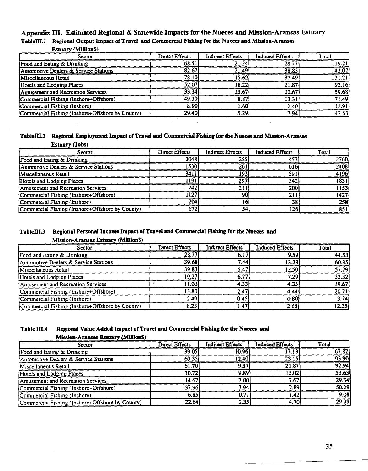## Appendix III. Estimated Regional & Statewide Impacts for the Nueces and Mission-Aransas Estuary

TableIII.1 Regional Output Impact of Travel and Commercial Fishing for the Nueces and Mission-Aransas

#### Estuary (MillionS)

| Sector                                          | Direct Effects | <b>Indirect Effects</b> | <b>Induced Effects</b> | Total               |
|-------------------------------------------------|----------------|-------------------------|------------------------|---------------------|
| Food and Eating & Drinking                      | 68.51          | 21.24                   | 28.77                  | 119.21              |
| Automotive Dealers & Service Stations           | 82.67          | 21.49                   | 38.85                  | 143.02              |
| Miscellaneous Retail                            | 78.10          | 15.621                  | 37.49                  | $\overline{131.21}$ |
| Hotels and Lodging Places                       | 52.07          | 18.22                   | 21.87                  | 92.16               |
| Amusement and Recreation Services               | 33.34          | 13.67                   | 12.67                  | 59.68               |
| Commercial Fishing (Inshore+Offshore)           | 49.30          | 8.87                    | 13.31                  | 71.49               |
| Commercial Fishing (Inshore)                    | 8.90           | 1.601                   | 2.40                   | 12.91               |
| Commercial Fishing (Inshore+Offshore by County) | 29.40          | 5.29                    | 7.94                   | 42.63               |

#### Tablem.2 Regional Employment Impact of Travel and Commercial Fishing for the Nueces and Mission-Aransas

| <b>Estuary (Jobs)</b>                           |                       |                         |                        |       |
|-------------------------------------------------|-----------------------|-------------------------|------------------------|-------|
| Sector                                          | <b>Direct Effects</b> | <b>Indirect Effects</b> | <b>Induced Effects</b> | Total |
| Food and Eating & Drinking                      | 2048                  | 255                     | 457                    | 2760  |
| Automotive Dealers & Service Stations           | 1530                  | 261                     | 616                    | 2408  |
| Miscellaneous Retail                            | 3411                  | 193                     | 591                    | 4196  |
| Hotels and Lodging Places                       | 1191                  | 297                     | 342                    | 1831  |
| Amusement and Recreation Services               | 7421                  | 21.                     | 200                    | 1153  |
| Commercial Fishing (Inshore+Offshore)           | 1127                  | 90                      | 211                    | 1427  |
| [Commercial Fishing (Inshore)                   | 204                   |                         | 38                     | 258   |
| Commercial Fishing (Inshore+Offshore by County) | 672                   | 54                      | 126                    | 851   |

#### TableIII.3 Regional Personal Income Impact of Travel and Commercial Fishing for the Nueces and Mission-Aransas Estuary (MillionS)

| Sector                                          | <b>Direct Effects</b> | <b>Indirect Effects</b> | <b>Induced Effects</b> | Total              |
|-------------------------------------------------|-----------------------|-------------------------|------------------------|--------------------|
| Food and Eating & Drinking                      | 28.77                 | 6.17                    | 9.59                   | 44.53              |
| Automotive Dealers & Service Stations           | 39.68                 | 7.44                    | 13.23'                 | 60.35              |
| Miscellaneous Retail                            | 39.83                 | 5.47                    | 12.50                  | 57.79              |
| Hotels and Lodging Places                       | 19.27                 | 6.77                    | 7.29                   | 33.32              |
| Amusement and Recreation Services               | $\vert 1.00 \vert$    | 4.33                    | 4.33                   | 19.67              |
| Commercial Fishing (Inshore+Offshore)           | 13.80                 | 2.47                    | 4.44                   | $\overline{20.71}$ |
| (Commercial Fishing (Inshore)                   | 2.49                  | 0.45                    | 0.80                   | 3.74               |
| Commercial Fishing (Inshore+Offshore by County) | 8.23                  | 47.ء                    | 2.65                   | 12.35              |
|                                                 |                       |                         |                        |                    |

## Table III.4 Regional Value Added Impact of Travel and Commercial Fishing for the Nueces and Mission-Aransas Estuary (Million\$)

| Sector                                          | <b>Direct Effects</b> | <b>Indirect Effects</b> | <b>Induced Effects</b> | Total |
|-------------------------------------------------|-----------------------|-------------------------|------------------------|-------|
| Food and Eating & Drinking                      | 39.05                 | 10.96                   | 17.13                  | 67.82 |
| Automotive Dealers & Service Stations           | 60.35                 | 12.40l                  | 23.15                  | 95.90 |
| Miscellaneous Retail                            | 61.70                 | 9.37                    | 21.87                  | 92.94 |
| Hotels and Lodging Places                       | 30.72                 | 9.89                    | 13.02                  | 53.63 |
| Amusement and Recreation Services               | 14.67                 | 7.00                    | 7.67                   | 29.34 |
| Commercial Fishing (Inshore+Offshore)           | 37.96                 | 3.94                    | 7.89                   | 50.29 |
| Commercial Fishing (Inshore)                    | 6.85                  | 0.71                    | 1.42                   | 9.08  |
| Commercial Fishing (Inshore+Offshore by County) | 22.64                 | 2.35                    | 4.70                   | 29.99 |